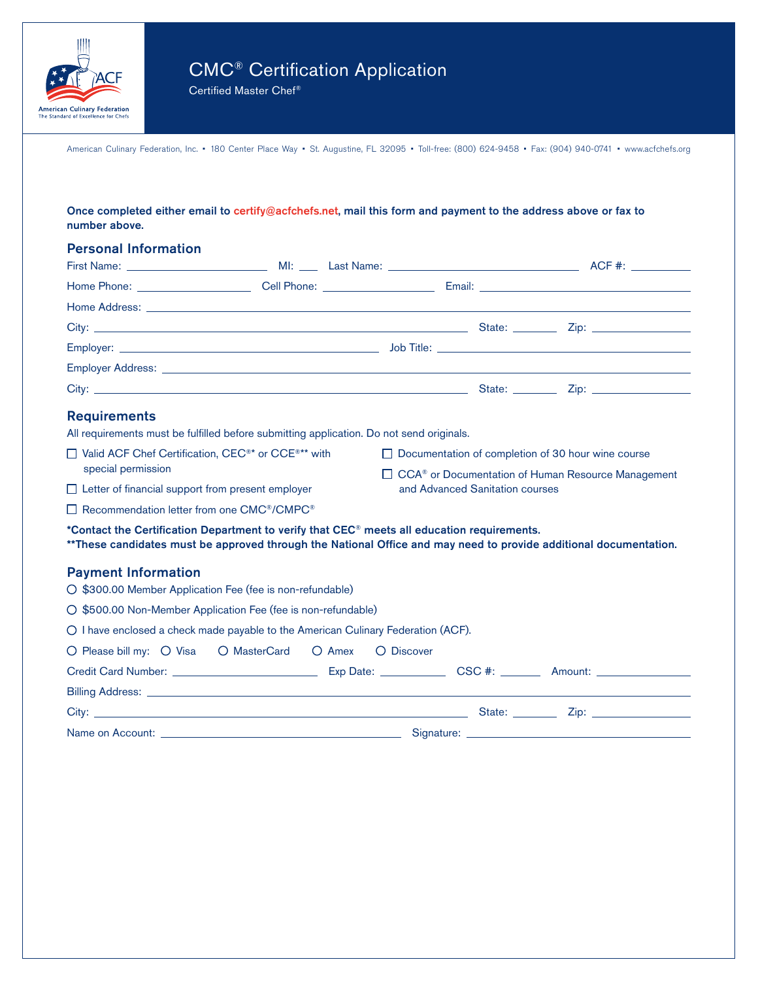

Certified Master Chef®

|               | Once completed either email to certify@acfchefs.net, mail this form and payment to the address above or fax to |  |  |
|---------------|----------------------------------------------------------------------------------------------------------------|--|--|
| number above. |                                                                                                                |  |  |

## Personal Information

| <b>Home Address:</b> the contract of the contract of the contract of the contract of the contract of the contract of the contract of the contract of the contract of the contract of the contract of the contract of the contract o |                                                                  |            |                                 |  |  |  |  |  |
|-------------------------------------------------------------------------------------------------------------------------------------------------------------------------------------------------------------------------------------|------------------------------------------------------------------|------------|---------------------------------|--|--|--|--|--|
| City: <u>Call Communication City:</u> City: City: City: City: City: City: City: City: City: City: City: City: City: City: City: City: City: City: City: City: City: City: City: City: City: City: City: City: City: City: City: Cit |                                                                  |            |                                 |  |  |  |  |  |
|                                                                                                                                                                                                                                     |                                                                  |            |                                 |  |  |  |  |  |
| Employer Address: with a state of the contract of the contract of the contract of the contract of the contract of the contract of the contract of the contract of the contract of the contract of the contract of the contract      |                                                                  |            |                                 |  |  |  |  |  |
|                                                                                                                                                                                                                                     |                                                                  |            |                                 |  |  |  |  |  |
| <b>Requirements</b>                                                                                                                                                                                                                 |                                                                  |            |                                 |  |  |  |  |  |
| All requirements must be fulfilled before submitting application. Do not send originals.                                                                                                                                            |                                                                  |            |                                 |  |  |  |  |  |
| □ Valid ACF Chef Certification, CEC <sup>®*</sup> or CCE <sup>®**</sup> with                                                                                                                                                        | □ Documentation of completion of 30 hour wine course             |            |                                 |  |  |  |  |  |
| special permission                                                                                                                                                                                                                  | □ CCA <sup>®</sup> or Documentation of Human Resource Management |            |                                 |  |  |  |  |  |
| $\Box$ Letter of financial support from present employer                                                                                                                                                                            |                                                                  |            | and Advanced Sanitation courses |  |  |  |  |  |
| $\Box$ Recommendation letter from one CMC®/CMPC®                                                                                                                                                                                    |                                                                  |            |                                 |  |  |  |  |  |
| *Contact the Certification Department to verify that CEC® meets all education requirements.                                                                                                                                         |                                                                  |            |                                 |  |  |  |  |  |
| ** These candidates must be approved through the National Office and may need to provide additional documentation.                                                                                                                  |                                                                  |            |                                 |  |  |  |  |  |
| <b>Payment Information</b>                                                                                                                                                                                                          |                                                                  |            |                                 |  |  |  |  |  |
| ○ \$300.00 Member Application Fee (fee is non-refundable)                                                                                                                                                                           |                                                                  |            |                                 |  |  |  |  |  |
| ○ \$500.00 Non-Member Application Fee (fee is non-refundable)                                                                                                                                                                       |                                                                  |            |                                 |  |  |  |  |  |
| O I have enclosed a check made payable to the American Culinary Federation (ACF).                                                                                                                                                   |                                                                  |            |                                 |  |  |  |  |  |
| O Please bill my: O Visa O MasterCard O Amex                                                                                                                                                                                        |                                                                  | O Discover |                                 |  |  |  |  |  |
|                                                                                                                                                                                                                                     |                                                                  |            |                                 |  |  |  |  |  |
|                                                                                                                                                                                                                                     |                                                                  |            |                                 |  |  |  |  |  |

City: State: Zip:

Name on Account: <u>Signature:</u> Signature: Signature: Signature: Signature: Signature: Scotlandinal Scotlandinal Scotlandinal Scotlandinal Scotlandinal Scotlandinal Scotlandinal Scotlandinal Scotlandinal Scotlandinal Scotlan